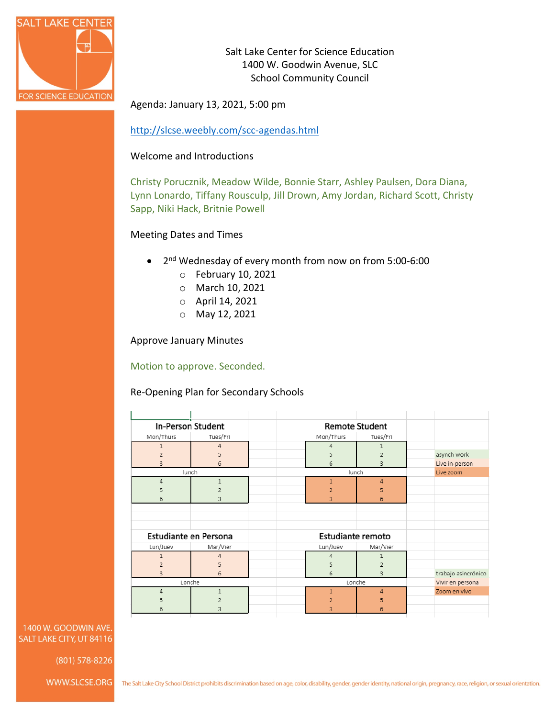

Salt Lake Center for Science Education 1400 W. Goodwin Avenue, SLC School Community Council

Agenda: January 13, 2021, 5:00 pm

<http://slcse.weebly.com/scc-agendas.html>

#### Welcome and Introductions

Christy Porucznik, Meadow Wilde, Bonnie Starr, Ashley Paulsen, Dora Diana, Lynn Lonardo, Tiffany Rousculp, Jill Drown, Amy Jordan, Richard Scott, Christy Sapp, Niki Hack, Britnie Powell

Meeting Dates and Times

- 2nd Wednesday of every month from now on from 5:00-6:00
	- o February 10, 2021
	- o March 10, 2021
	- o April 14, 2021
	- o May 12, 2021

Approve January Minutes

Motion to approve. Seconded.

Re-Opening Plan for Secondary Schools

| In-Person Student     |                | <b>Remote Student</b>    |                |                     |
|-----------------------|----------------|--------------------------|----------------|---------------------|
| Mon/Thurs             | Tues/Fri       | Mon/Thurs                | Tues/Fri       |                     |
| 1                     | $\overline{4}$ | 4                        | 1              |                     |
| $\overline{2}$        | 5              | 5                        | $\overline{2}$ | asynch work         |
| 3                     | $\overline{6}$ | 6                        | 3              | Live in-person      |
| lunch                 |                | lunch                    |                | Live zoom           |
| 4                     | $\mathbf{1}$   | $\mathbf{1}$             | 4              |                     |
| 5                     | $\overline{2}$ | $\overline{2}$           | 5              |                     |
| 6                     | 3              | 3                        | 6              |                     |
|                       |                |                          |                |                     |
|                       |                |                          |                |                     |
|                       |                |                          |                |                     |
| Estudiante en Persona |                | <b>Estudiante remoto</b> |                |                     |
| Lun/Juev              | Mar/Vier       | Lun/Juev                 | Mar/Vier       |                     |
| 1                     | $\overline{4}$ | Δ                        | 1              |                     |
| $\overline{2}$        | 5              | 5                        | $\overline{2}$ |                     |
| 3                     | $\overline{6}$ | 6                        | 3              | trabajo asincrónico |
| Lonche                |                | Lonche                   |                | Vivir en persona    |
| 4                     | $\mathbf{1}$   | $\mathbf{1}$             | 4              | Zoom en vivo        |
| 5                     | $\overline{2}$ | $\overline{2}$           | 5              |                     |
| 6                     | 3              | 3                        | 6              |                     |
|                       |                |                          |                |                     |

1400 W. GOODWIN AVE. SALT LAKE CITY, UT 84116

(801) 578-8226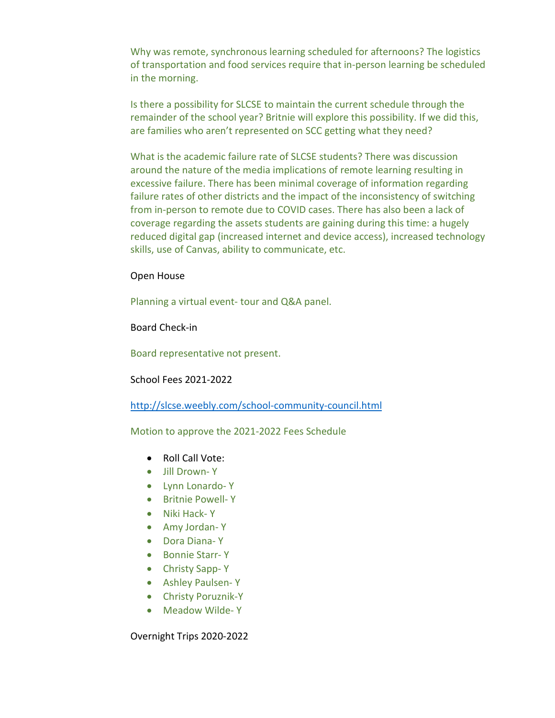Why was remote, synchronous learning scheduled for afternoons? The logistics of transportation and food services require that in-person learning be scheduled in the morning.

Is there a possibility for SLCSE to maintain the current schedule through the remainder of the school year? Britnie will explore this possibility. If we did this, are families who aren't represented on SCC getting what they need?

What is the academic failure rate of SLCSE students? There was discussion around the nature of the media implications of remote learning resulting in excessive failure. There has been minimal coverage of information regarding failure rates of other districts and the impact of the inconsistency of switching from in-person to remote due to COVID cases. There has also been a lack of coverage regarding the assets students are gaining during this time: a hugely reduced digital gap (increased internet and device access), increased technology skills, use of Canvas, ability to communicate, etc.

#### Open House

Planning a virtual event- tour and Q&A panel.

Board Check-in

Board representative not present.

School Fees 2021-2022

<http://slcse.weebly.com/school-community-council.html>

Motion to approve the 2021-2022 Fees Schedule

- Roll Call Vote:
- Jill Drown- Y
- Lynn Lonardo- Y
- Britnie Powell- Y
- Niki Hack- Y
- Amy Jordan- Y
- Dora Diana- Y
- Bonnie Starr- Y
- Christy Sapp- Y
- Ashley Paulsen- Y
- Christy Poruznik-Y
- Meadow Wilde- Y

Overnight Trips 2020-2022